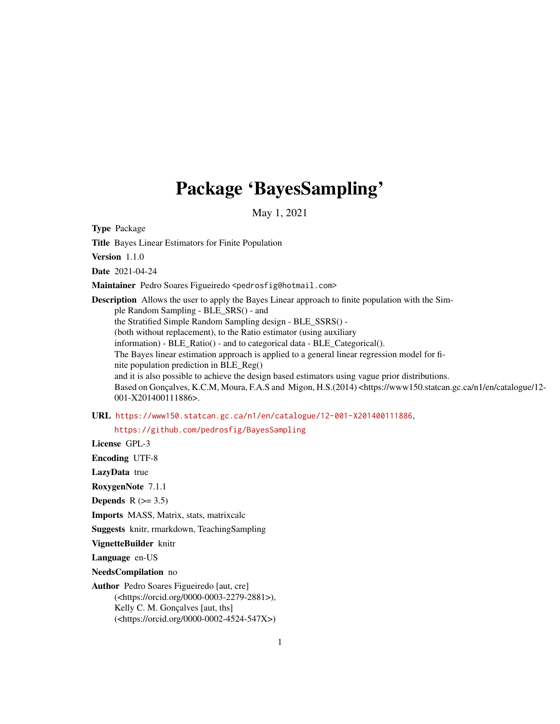# Package 'BayesSampling'

May 1, 2021

Type Package

Title Bayes Linear Estimators for Finite Population

Version 1.1.0

Date 2021-04-24

Maintainer Pedro Soares Figueiredo <pedrosfig@hotmail.com>

Description Allows the user to apply the Bayes Linear approach to finite population with the Simple Random Sampling - BLE\_SRS() - and the Stratified Simple Random Sampling design - BLE\_SSRS() - (both without replacement), to the Ratio estimator (using auxiliary information) - BLE\_Ratio() - and to categorical data - BLE\_Categorical(). The Bayes linear estimation approach is applied to a general linear regression model for finite population prediction in BLE\_Reg() and it is also possible to achieve the design based estimators using vague prior distributions. Based on Gonçalves, K.C.M, Moura, F.A.S and Migon, H.S.(2014) <https://www150.statcan.gc.ca/n1/en/catalogue/12-001-X201400111886>.

URL <https://www150.statcan.gc.ca/n1/en/catalogue/12-001-X201400111886>,

<https://github.com/pedrosfig/BayesSampling>

License GPL-3

Encoding UTF-8

LazyData true

RoxygenNote 7.1.1

Depends  $R$  ( $>= 3.5$ )

Imports MASS, Matrix, stats, matrixcalc

Suggests knitr, rmarkdown, TeachingSampling

VignetteBuilder knitr

Language en-US

NeedsCompilation no

Author Pedro Soares Figueiredo [aut, cre] (<https://orcid.org/0000-0003-2279-2881>), Kelly C. M. Gonçalves [aut, ths] (<https://orcid.org/0000-0002-4524-547X>)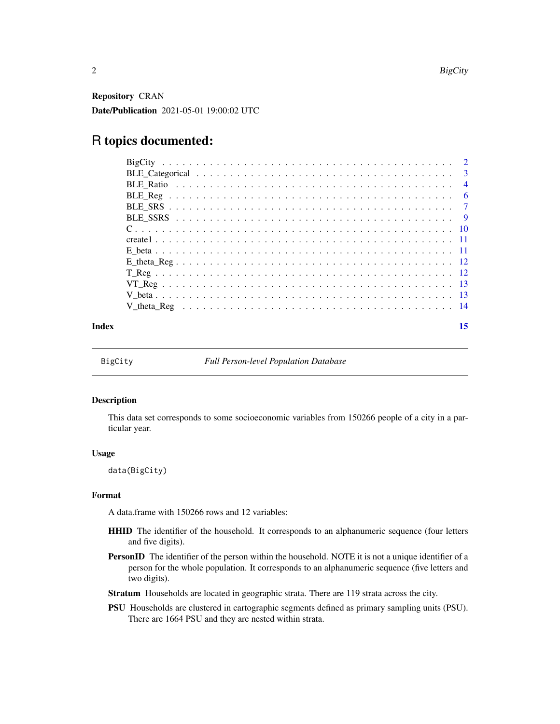<span id="page-1-0"></span>Repository CRAN Date/Publication 2021-05-01 19:00:02 UTC

# R topics documented:

| Index | 15 |
|-------|----|

<span id="page-1-1"></span>

BigCity *Full Person-level Population Database*

#### Description

This data set corresponds to some socioeconomic variables from 150266 people of a city in a particular year.

#### Usage

data(BigCity)

#### Format

A data.frame with 150266 rows and 12 variables:

- HHID The identifier of the household. It corresponds to an alphanumeric sequence (four letters and five digits).
- PersonID The identifier of the person within the household. NOTE it is not a unique identifier of a person for the whole population. It corresponds to an alphanumeric sequence (five letters and two digits).
- Stratum Households are located in geographic strata. There are 119 strata across the city.
- PSU Households are clustered in cartographic segments defined as primary sampling units (PSU). There are 1664 PSU and they are nested within strata.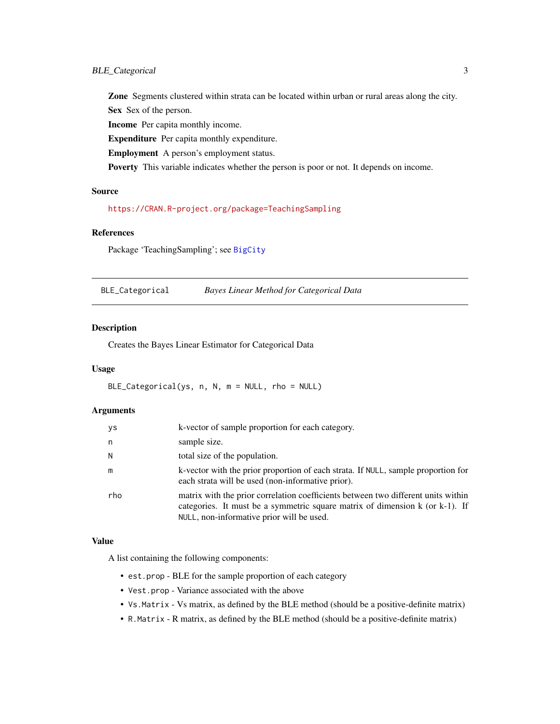<span id="page-2-0"></span>Zone Segments clustered within strata can be located within urban or rural areas along the city. Sex Sex of the person.

Income Per capita monthly income.

Expenditure Per capita monthly expenditure.

Employment A person's employment status.

Poverty This variable indicates whether the person is poor or not. It depends on income.

#### Source

<https://CRAN.R-project.org/package=TeachingSampling>

#### References

Package 'TeachingSampling'; see [BigCity](#page-1-1)

BLE\_Categorical *Bayes Linear Method for Categorical Data*

#### Description

Creates the Bayes Linear Estimator for Categorical Data

#### Usage

BLE\_Categorical(ys, n, N, m = NULL, rho = NULL)

#### Arguments

| ys  | k-vector of sample proportion for each category.                                                                                                                                                               |
|-----|----------------------------------------------------------------------------------------------------------------------------------------------------------------------------------------------------------------|
| n   | sample size.                                                                                                                                                                                                   |
| N   | total size of the population.                                                                                                                                                                                  |
| m   | k-vector with the prior proportion of each strata. If NULL, sample proportion for<br>each strata will be used (non-informative prior).                                                                         |
| rho | matrix with the prior correlation coefficients between two different units within<br>categories. It must be a symmetric square matrix of dimension k (or k-1). If<br>NULL, non-informative prior will be used. |

# Value

A list containing the following components:

- est.prop BLE for the sample proportion of each category
- Vest.prop Variance associated with the above
- Vs.Matrix Vs matrix, as defined by the BLE method (should be a positive-definite matrix)
- R.Matrix R matrix, as defined by the BLE method (should be a positive-definite matrix)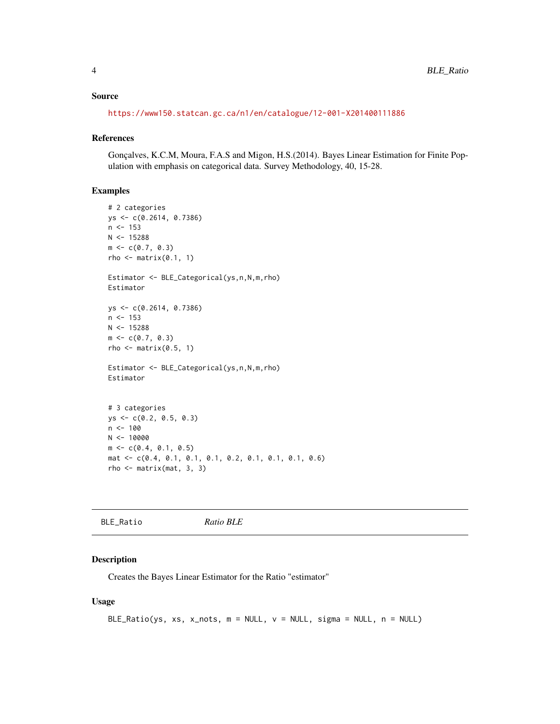#### <span id="page-3-0"></span>Source

<https://www150.statcan.gc.ca/n1/en/catalogue/12-001-X201400111886>

# References

Gonçalves, K.C.M, Moura, F.A.S and Migon, H.S.(2014). Bayes Linear Estimation for Finite Population with emphasis on categorical data. Survey Methodology, 40, 15-28.

#### Examples

```
# 2 categories
ys <- c(0.2614, 0.7386)
n < -153N < - 15288m \leq c(0.7, 0.3)rho \leq matrix(0.1, 1)
Estimator <- BLE_Categorical(ys,n,N,m,rho)
Estimator
ys <- c(0.2614, 0.7386)
n < -153N < - 15288m \leftarrow c(0.7, 0.3)rho \leq matrix(0.5, 1)
Estimator <- BLE_Categorical(ys,n,N,m,rho)
Estimator
# 3 categories
ys <- c(0.2, 0.5, 0.3)
n < -100N < - 10000m \leq -c(0.4, 0.1, 0.5)mat <- c(0.4, 0.1, 0.1, 0.1, 0.2, 0.1, 0.1, 0.1, 0.6)
rho \leq matrix(mat, 3, 3)
```
BLE\_Ratio *Ratio BLE*

#### Description

Creates the Bayes Linear Estimator for the Ratio "estimator"

#### Usage

```
BLE\_Ratio(ys, xs, x\_nots, m = NULL, v = NULL, sigma = NULL, n = NULL)
```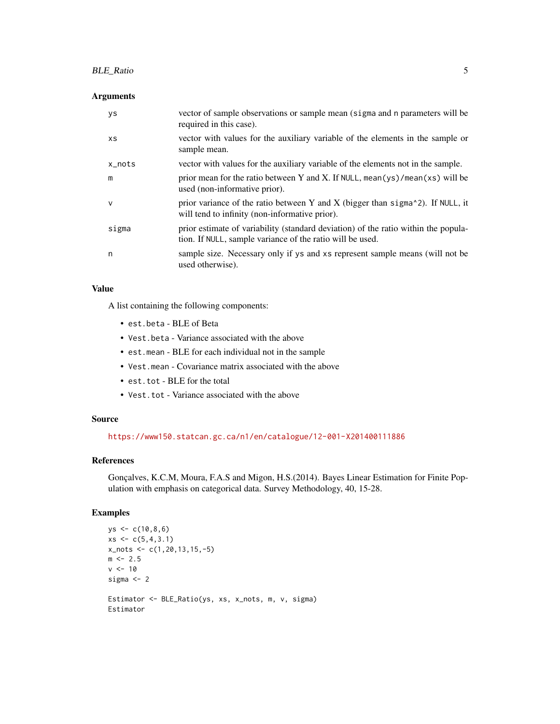#### BLE\_Ratio 5

#### Arguments

| ys     | vector of sample observations or sample mean (sigma and n parameters will be<br>required in this case).                                         |
|--------|-------------------------------------------------------------------------------------------------------------------------------------------------|
| XS.    | vector with values for the auxiliary variable of the elements in the sample or<br>sample mean.                                                  |
| x_nots | vector with values for the auxiliary variable of the elements not in the sample.                                                                |
| m      | prior mean for the ratio between Y and X. If NULL, mean(ys)/mean(xs) will be<br>used (non-informative prior).                                   |
| v      | prior variance of the ratio between Y and X (bigger than sigma $\alpha$ ). If NULL, it<br>will tend to infinity (non-informative prior).        |
| sigma  | prior estimate of variability (standard deviation) of the ratio within the popula-<br>tion. If NULL, sample variance of the ratio will be used. |
| n      | sample size. Necessary only if ys and xs represent sample means (will not be<br>used otherwise).                                                |

#### Value

A list containing the following components:

- est.beta BLE of Beta
- Vest.beta Variance associated with the above
- est.mean BLE for each individual not in the sample
- Vest.mean Covariance matrix associated with the above
- est.tot BLE for the total
- Vest.tot Variance associated with the above

#### Source

<https://www150.statcan.gc.ca/n1/en/catalogue/12-001-X201400111886>

#### References

Gonçalves, K.C.M, Moura, F.A.S and Migon, H.S.(2014). Bayes Linear Estimation for Finite Population with emphasis on categorical data. Survey Methodology, 40, 15-28.

#### Examples

```
ys < -c(10, 8, 6)xs \leftarrow c(5, 4, 3.1)x_nots \leftarrow c(1, 20, 13, 15, -5)m < -2.5v < -10sigma <-2Estimator <- BLE_Ratio(ys, xs, x_nots, m, v, sigma)
Estimator
```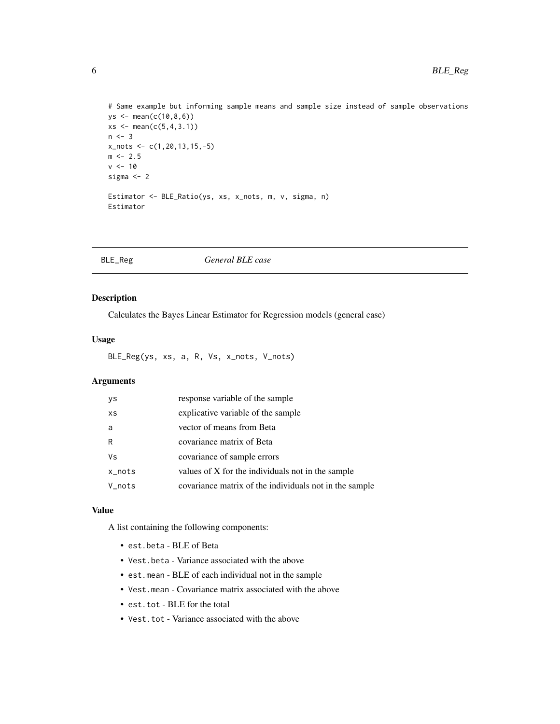```
# Same example but informing sample means and sample size instead of sample observations
ys <- mean(c(10,8,6))
xs \le - mean(c(5, 4, 3.1))
n \leq -3x_nots <- c(1,20,13,15,-5)
m < -2.5v < -10sigma <-2Estimator <- BLE_Ratio(ys, xs, x_nots, m, v, sigma, n)
Estimator
```

| BLE_Reg | General BLE case |  |
|---------|------------------|--|
|---------|------------------|--|

Calculates the Bayes Linear Estimator for Regression models (general case)

#### Usage

BLE\_Reg(ys, xs, a, R, Vs, x\_nots, V\_nots)

#### Arguments

| ys     | response variable of the sample                        |
|--------|--------------------------------------------------------|
| XS     | explicative variable of the sample                     |
| a      | vector of means from Beta                              |
| R      | covariance matrix of Beta                              |
| Vs     | covariance of sample errors                            |
| x_nots | values of X for the individuals not in the sample      |
| V_nots | covariance matrix of the individuals not in the sample |

#### Value

A list containing the following components:

- est.beta BLE of Beta
- Vest.beta Variance associated with the above
- est.mean BLE of each individual not in the sample
- Vest.mean Covariance matrix associated with the above
- est.tot BLE for the total
- Vest.tot Variance associated with the above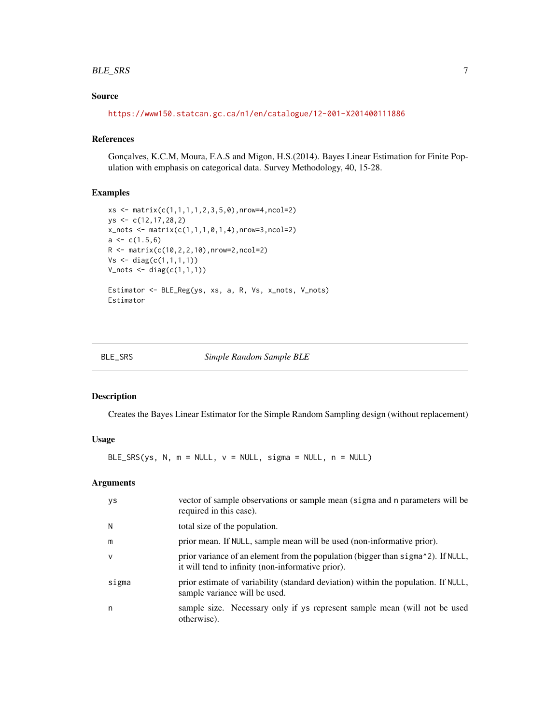#### <span id="page-6-0"></span>BLE\_SRS 7

### Source

<https://www150.statcan.gc.ca/n1/en/catalogue/12-001-X201400111886>

#### References

Gonçalves, K.C.M, Moura, F.A.S and Migon, H.S.(2014). Bayes Linear Estimation for Finite Population with emphasis on categorical data. Survey Methodology, 40, 15-28.

#### Examples

```
xs <- matrix(c(1,1,1,1,2,3,5,0),nrow=4,ncol=2)
ys <- c(12,17,28,2)
x_nots <- matrix(c(1,1,1,0,1,4),nrow=3,ncol=2)
a \leftarrow c(1.5, 6)R <- matrix(c(10,2,2,10),nrow=2,ncol=2)
Vs < - diag(c(1,1,1,1))V_nots <- diag(c(1,1,1))
Estimator <- BLE_Reg(ys, xs, a, R, Vs, x_nots, V_nots)
Estimator
```

| BL F | D<br>c<br>∵. דונ |
|------|------------------|
|------|------------------|

#### Simple Random Sample BLE

#### Description

Creates the Bayes Linear Estimator for the Simple Random Sampling design (without replacement)

#### Usage

BLE\_SRS(ys, N,  $m = NULL$ ,  $v = NULL$ , sigma = NULL,  $n = NULL$ )

| ys     | vector of sample observations or sample mean (sigma and n parameters will be<br>required in this case).                               |
|--------|---------------------------------------------------------------------------------------------------------------------------------------|
| N      | total size of the population.                                                                                                         |
| m      | prior mean. If NULL, sample mean will be used (non-informative prior).                                                                |
| $\vee$ | prior variance of an element from the population (bigger than sigma^2). If NULL,<br>it will tend to infinity (non-informative prior). |
| sigma  | prior estimate of variability (standard deviation) within the population. If NULL,<br>sample variance will be used.                   |
| n      | sample size. Necessary only if ys represent sample mean (will not be used<br>otherwise).                                              |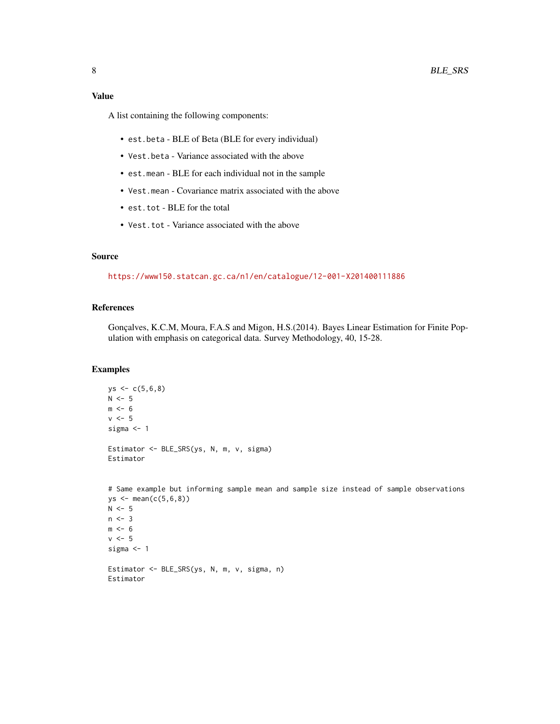#### Value

A list containing the following components:

- est.beta BLE of Beta (BLE for every individual)
- Vest.beta Variance associated with the above
- est.mean BLE for each individual not in the sample
- Vest.mean Covariance matrix associated with the above
- est.tot BLE for the total
- Vest.tot Variance associated with the above

#### Source

<https://www150.statcan.gc.ca/n1/en/catalogue/12-001-X201400111886>

#### References

Gonçalves, K.C.M, Moura, F.A.S and Migon, H.S.(2014). Bayes Linear Estimation for Finite Population with emphasis on categorical data. Survey Methodology, 40, 15-28.

#### Examples

```
ys < -c(5,6,8)N < -5m < -6v < -5sigma <- 1
Estimator <- BLE_SRS(ys, N, m, v, sigma)
Estimator
```

```
# Same example but informing sample mean and sample size instead of sample observations
ys < - mean(c(5, 6, 8))
N < -5n \leq -3m < - 6v < -5sigma <- 1
Estimator <- BLE_SRS(ys, N, m, v, sigma, n)
```
Estimator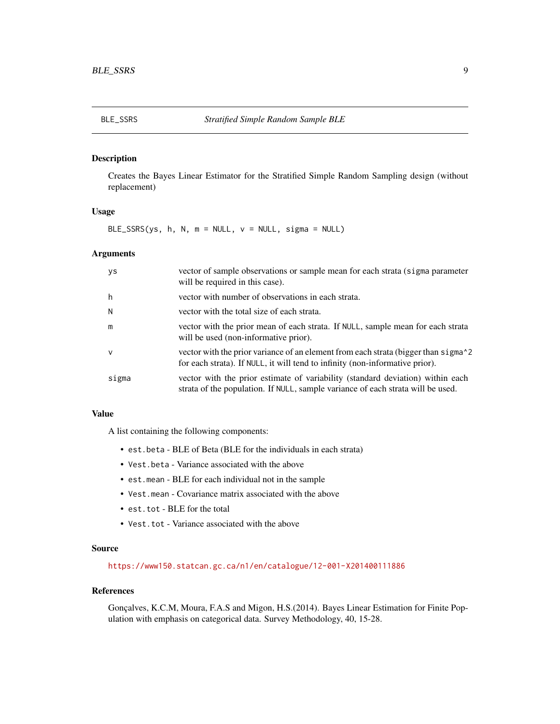<span id="page-8-0"></span>Creates the Bayes Linear Estimator for the Stratified Simple Random Sampling design (without replacement)

#### Usage

BLE\_SSRS(ys, h, N,  $m = NULL$ ,  $v = NULL$ , sigma = NULL)

#### Arguments

| ys           | vector of sample observations or sample mean for each strata (sigma parameter<br>will be required in this case).                                                              |
|--------------|-------------------------------------------------------------------------------------------------------------------------------------------------------------------------------|
| h            | vector with number of observations in each strata.                                                                                                                            |
| N            | vector with the total size of each strata.                                                                                                                                    |
| m            | vector with the prior mean of each strata. If NULL, sample mean for each strata<br>will be used (non-informative prior).                                                      |
| $\mathsf{v}$ | vector with the prior variance of an element from each strata (bigger than sigma <sup>2</sup><br>for each strata). If NULL, it will tend to infinity (non-informative prior). |
| sigma        | vector with the prior estimate of variability (standard deviation) within each<br>strata of the population. If NULL, sample variance of each strata will be used.             |

#### Value

A list containing the following components:

- est.beta BLE of Beta (BLE for the individuals in each strata)
- Vest.beta Variance associated with the above
- est.mean BLE for each individual not in the sample
- Vest.mean Covariance matrix associated with the above
- est.tot BLE for the total
- Vest.tot Variance associated with the above

#### Source

<https://www150.statcan.gc.ca/n1/en/catalogue/12-001-X201400111886>

#### References

Gonçalves, K.C.M, Moura, F.A.S and Migon, H.S.(2014). Bayes Linear Estimation for Finite Population with emphasis on categorical data. Survey Methodology, 40, 15-28.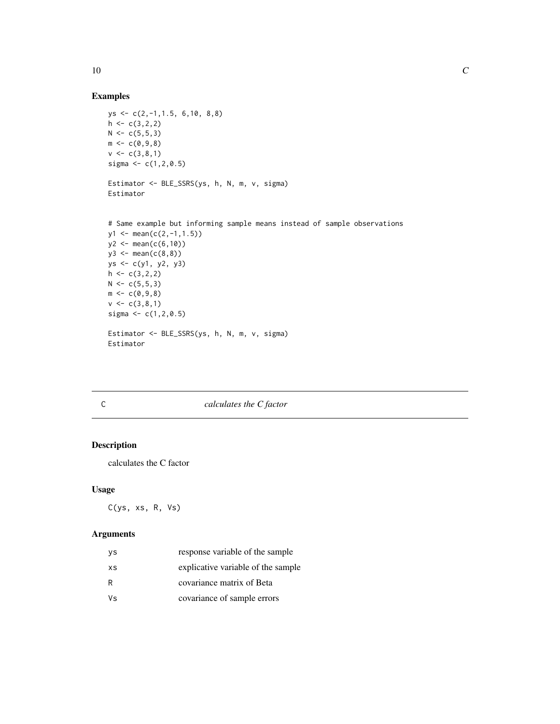#### Examples

```
ys <- c(2,-1,1.5, 6,10, 8,8)
h \leftarrow c(3, 2, 2)N < -c(5,5,3)m < -c(0, 9, 8)v \leq c(3,8,1)sigma <-c(1, 2, 0.5)Estimator <- BLE_SSRS(ys, h, N, m, v, sigma)
Estimator
```

```
# Same example but informing sample means instead of sample observations
y1 \leftarrow \text{mean}(c(2,-1,1.5))y2 \le - mean(c(6,10))
y3 \le - mean(c(8,8))
ys <- c(y1, y2, y3)
h \leftarrow c(3,2,2)N < -c(5,5,3)m \leftarrow c(0, 9, 8)v \leq c(3,8,1)sigma <-c(1, 2, 0.5)Estimator <- BLE_SSRS(ys, h, N, m, v, sigma)
Estimator
```
#### C *calculates the C factor*

#### Description

calculates the C factor

#### Usage

C(ys, xs, R, Vs)

#### Arguments

| νs  | response variable of the sample    |
|-----|------------------------------------|
| XS  | explicative variable of the sample |
| R   | covariance matrix of Beta          |
| Vs. | covariance of sample errors        |

<span id="page-9-0"></span> $10$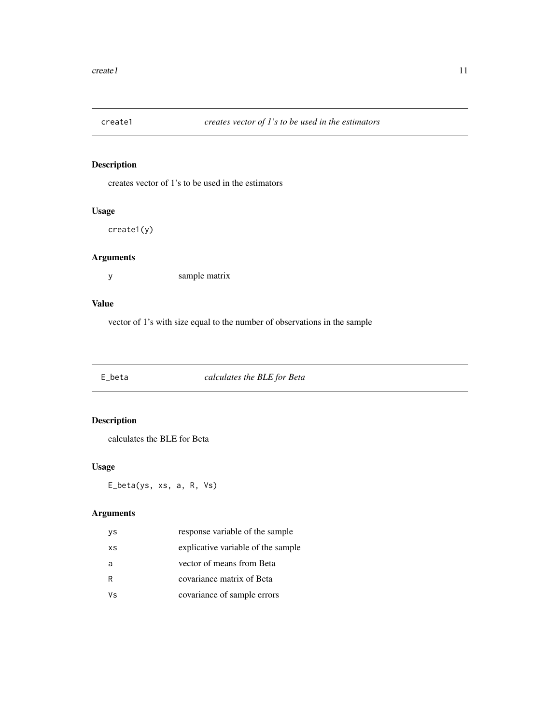<span id="page-10-0"></span>

creates vector of 1's to be used in the estimators

# Usage

create1(y)

### Arguments

y sample matrix

### Value

vector of 1's with size equal to the number of observations in the sample

E\_beta *calculates the BLE for Beta*

# Description

calculates the BLE for Beta

#### Usage

E\_beta(ys, xs, a, R, Vs)

| ys | response variable of the sample    |
|----|------------------------------------|
| XS | explicative variable of the sample |
| a  | vector of means from Beta          |
| R  | covariance matrix of Beta          |
| ٧s | covariance of sample errors        |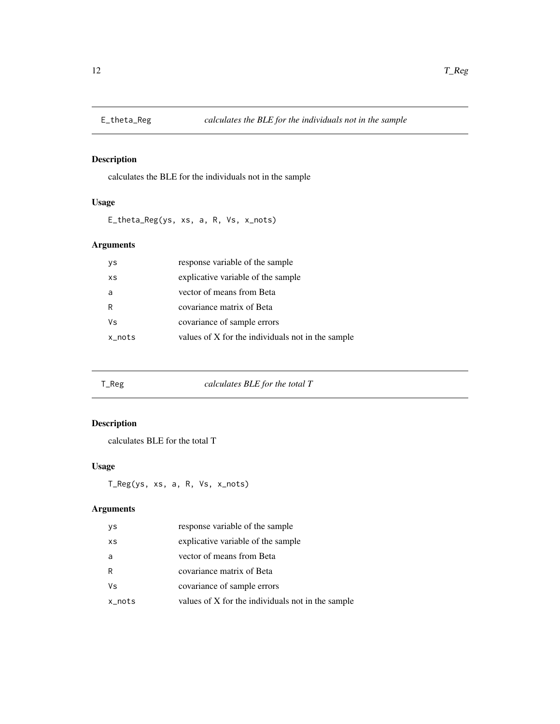<span id="page-11-0"></span>

calculates the BLE for the individuals not in the sample

# Usage

E\_theta\_Reg(ys, xs, a, R, Vs, x\_nots)

#### Arguments

| уs        | response variable of the sample                   |
|-----------|---------------------------------------------------|
| XS        | explicative variable of the sample                |
| a         | vector of means from Beta                         |
| R         | covariance matrix of Beta                         |
| ٧s        | covariance of sample errors                       |
| $x\_nots$ | values of X for the individuals not in the sample |

T\_Reg *calculates BLE for the total T*

# Description

calculates BLE for the total T

# Usage

T\_Reg(ys, xs, a, R, Vs, x\_nots)

| ys     | response variable of the sample                   |
|--------|---------------------------------------------------|
| XS     | explicative variable of the sample                |
| a      | vector of means from Beta                         |
| R      | covariance matrix of Beta                         |
| Vs     | covariance of sample errors                       |
| x_nots | values of X for the individuals not in the sample |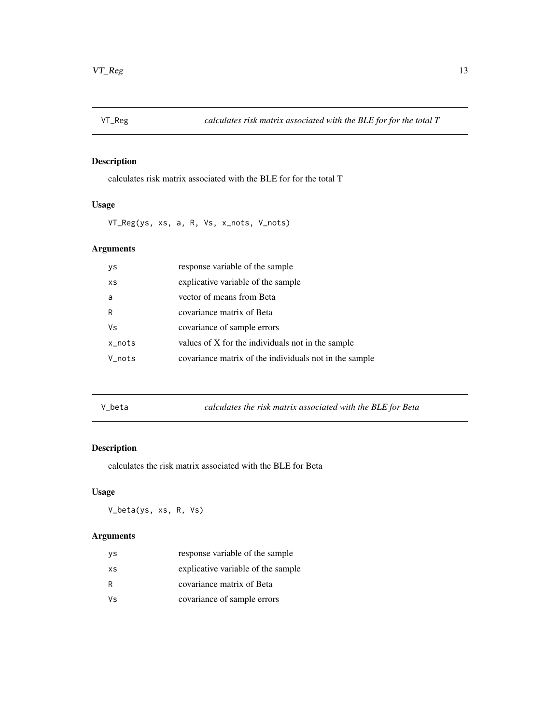<span id="page-12-0"></span>

calculates risk matrix associated with the BLE for for the total T

#### Usage

VT\_Reg(ys, xs, a, R, Vs, x\_nots, V\_nots)

#### Arguments

| ys     | response variable of the sample                        |
|--------|--------------------------------------------------------|
| XS     | explicative variable of the sample                     |
| a      | vector of means from Beta                              |
| R      | covariance matrix of Beta                              |
| Vs     | covariance of sample errors                            |
| x_nots | values of X for the individuals not in the sample      |
| V nots | covariance matrix of the individuals not in the sample |
|        |                                                        |

V\_beta *calculates the risk matrix associated with the BLE for Beta*

# Description

calculates the risk matrix associated with the BLE for Beta

#### Usage

V\_beta(ys, xs, R, Vs)

| νs  | response variable of the sample    |
|-----|------------------------------------|
| XS  | explicative variable of the sample |
| R   | covariance matrix of Beta          |
| Vs. | covariance of sample errors        |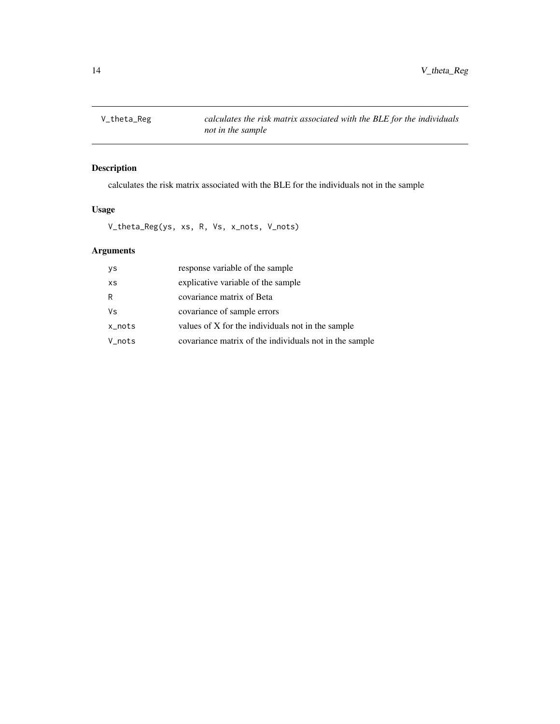<span id="page-13-0"></span>

calculates the risk matrix associated with the BLE for the individuals not in the sample

#### Usage

V\_theta\_Reg(ys, xs, R, Vs, x\_nots, V\_nots)

| ys     | response variable of the sample                        |
|--------|--------------------------------------------------------|
| XS     | explicative variable of the sample                     |
| R      | covariance matrix of Beta                              |
| Vs     | covariance of sample errors                            |
| x_nots | values of X for the individuals not in the sample      |
| V_nots | covariance matrix of the individuals not in the sample |